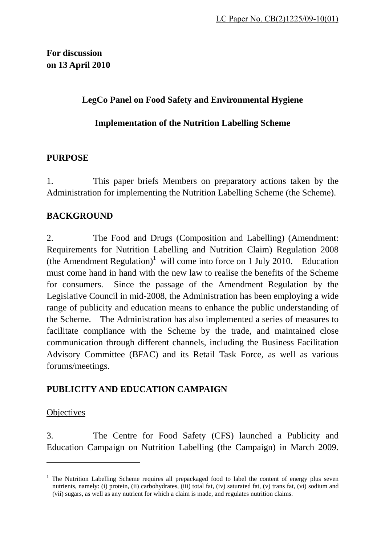# **For discussion on 13 April 2010**

## **LegCo Panel on Food Safety and Environmental Hygiene**

### **Implementation of the Nutrition Labelling Scheme**

### **PURPOSE**

1. This paper briefs Members on preparatory actions taken by the Administration for implementing the Nutrition Labelling Scheme (the Scheme).

## **BACKGROUND**

2. The Food and Drugs (Composition and Labelling) (Amendment: Requirements for Nutrition Labelling and Nutrition Claim) Regulation 2008 (the Amendment Regulation)<sup>1</sup> will come into force on 1 July 2010. Education must come hand in hand with the new law to realise the benefits of the Scheme for consumers. Since the passage of the Amendment Regulation by the Legislative Council in mid-2008, the Administration has been employing a wide range of publicity and education means to enhance the public understanding of the Scheme. The Administration has also implemented a series of measures to facilitate compliance with the Scheme by the trade, and maintained close communication through different channels, including the Business Facilitation Advisory Committee (BFAC) and its Retail Task Force, as well as various forums/meetings.

## **PUBLICITY AND EDUCATION CAMPAIGN**

#### **Objectives**

 $\overline{a}$ 

3. The Centre for Food Safety (CFS) launched a Publicity and Education Campaign on Nutrition Labelling (the Campaign) in March 2009.

<sup>&</sup>lt;sup>1</sup> The Nutrition Labelling Scheme requires all prepackaged food to label the content of energy plus seven nutrients, namely: (i) protein, (ii) carbohydrates, (iii) total fat, (iv) saturated fat, (v) trans fat, (vi) sodium and (vii) sugars, as well as any nutrient for which a claim is made, and regulates nutrition claims.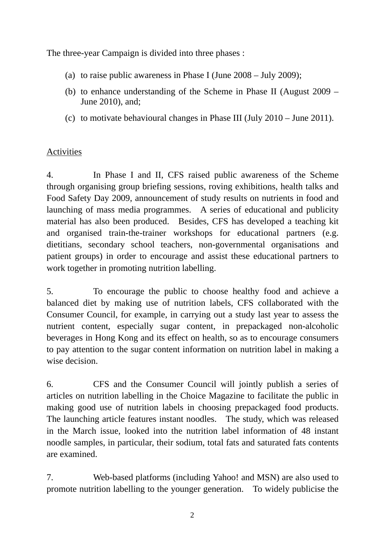The three-year Campaign is divided into three phases :

- (a) to raise public awareness in Phase I (June 2008 July 2009);
- (b) to enhance understanding of the Scheme in Phase II (August 2009 June 2010), and;
- (c) to motivate behavioural changes in Phase III (July 2010 June 2011).

### Activities

4. In Phase I and II, CFS raised public awareness of the Scheme through organising group briefing sessions, roving exhibitions, health talks and Food Safety Day 2009, announcement of study results on nutrients in food and launching of mass media programmes. A series of educational and publicity material has also been produced. Besides, CFS has developed a teaching kit and organised train-the-trainer workshops for educational partners (e.g. dietitians, secondary school teachers, non-governmental organisations and patient groups) in order to encourage and assist these educational partners to work together in promoting nutrition labelling.

5. To encourage the public to choose healthy food and achieve a balanced diet by making use of nutrition labels, CFS collaborated with the Consumer Council, for example, in carrying out a study last year to assess the nutrient content, especially sugar content, in prepackaged non-alcoholic beverages in Hong Kong and its effect on health, so as to encourage consumers to pay attention to the sugar content information on nutrition label in making a wise decision.

6. CFS and the Consumer Council will jointly publish a series of articles on nutrition labelling in the Choice Magazine to facilitate the public in making good use of nutrition labels in choosing prepackaged food products. The launching article features instant noodles. The study, which was released in the March issue, looked into the nutrition label information of 48 instant noodle samples, in particular, their sodium, total fats and saturated fats contents are examined.

7. Web-based platforms (including Yahoo! and MSN) are also used to promote nutrition labelling to the younger generation. To widely publicise the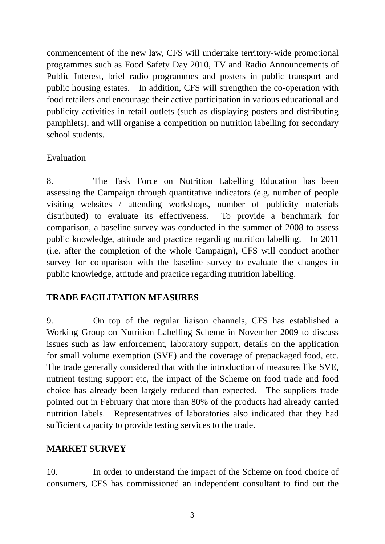commencement of the new law, CFS will undertake territory-wide promotional programmes such as Food Safety Day 2010, TV and Radio Announcements of Public Interest, brief radio programmes and posters in public transport and public housing estates. In addition, CFS will strengthen the co-operation with food retailers and encourage their active participation in various educational and publicity activities in retail outlets (such as displaying posters and distributing pamphlets), and will organise a competition on nutrition labelling for secondary school students.

### Evaluation

8. The Task Force on Nutrition Labelling Education has been assessing the Campaign through quantitative indicators (e.g. number of people visiting websites / attending workshops, number of publicity materials distributed) to evaluate its effectiveness. To provide a benchmark for comparison, a baseline survey was conducted in the summer of 2008 to assess public knowledge, attitude and practice regarding nutrition labelling. In 2011 (i.e. after the completion of the whole Campaign), CFS will conduct another survey for comparison with the baseline survey to evaluate the changes in public knowledge, attitude and practice regarding nutrition labelling.

## **TRADE FACILITATION MEASURES**

9. On top of the regular liaison channels, CFS has established a Working Group on Nutrition Labelling Scheme in November 2009 to discuss issues such as law enforcement, laboratory support, details on the application for small volume exemption (SVE) and the coverage of prepackaged food, etc. The trade generally considered that with the introduction of measures like SVE, nutrient testing support etc, the impact of the Scheme on food trade and food choice has already been largely reduced than expected. The suppliers trade pointed out in February that more than 80% of the products had already carried nutrition labels. Representatives of laboratories also indicated that they had sufficient capacity to provide testing services to the trade.

#### **MARKET SURVEY**

10. In order to understand the impact of the Scheme on food choice of consumers, CFS has commissioned an independent consultant to find out the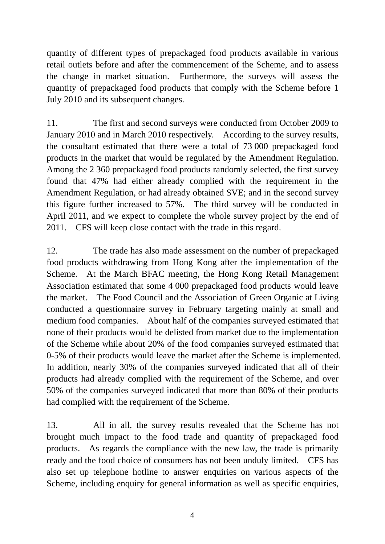quantity of different types of prepackaged food products available in various retail outlets before and after the commencement of the Scheme, and to assess the change in market situation. Furthermore, the surveys will assess the quantity of prepackaged food products that comply with the Scheme before 1 July 2010 and its subsequent changes.

11. The first and second surveys were conducted from October 2009 to January 2010 and in March 2010 respectively. According to the survey results, the consultant estimated that there were a total of 73 000 prepackaged food products in the market that would be regulated by the Amendment Regulation. Among the 2 360 prepackaged food products randomly selected, the first survey found that 47% had either already complied with the requirement in the Amendment Regulation, or had already obtained SVE; and in the second survey this figure further increased to 57%. The third survey will be conducted in April 2011, and we expect to complete the whole survey project by the end of 2011. CFS will keep close contact with the trade in this regard.

12. The trade has also made assessment on the number of prepackaged food products withdrawing from Hong Kong after the implementation of the Scheme. At the March BFAC meeting, the Hong Kong Retail Management Association estimated that some 4 000 prepackaged food products would leave the market. The Food Council and the Association of Green Organic at Living conducted a questionnaire survey in February targeting mainly at small and medium food companies. About half of the companies surveyed estimated that none of their products would be delisted from market due to the implementation of the Scheme while about 20% of the food companies surveyed estimated that 0-5% of their products would leave the market after the Scheme is implemented. In addition, nearly 30% of the companies surveyed indicated that all of their products had already complied with the requirement of the Scheme, and over 50% of the companies surveyed indicated that more than 80% of their products had complied with the requirement of the Scheme.

13. All in all, the survey results revealed that the Scheme has not brought much impact to the food trade and quantity of prepackaged food products. As regards the compliance with the new law, the trade is primarily ready and the food choice of consumers has not been unduly limited. CFS has also set up telephone hotline to answer enquiries on various aspects of the Scheme, including enquiry for general information as well as specific enquiries,